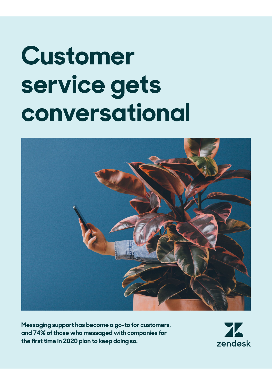# **Customer service gets conversational**



**Messaging support has become a go-to for customers, and 74% of those who messaged with companies for the first time in 2020 plan to keep doing so.**

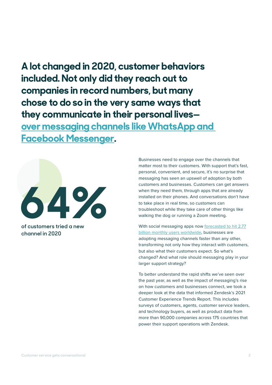**A lot changed in 2020, customer behaviors included. Not only did they reach out to companies in record numbers, but many chose to do so in the very same ways that they communicate in their personal lives over messaging channels like WhatsApp and Facebook Messenger.** 



**of customers tried a new channel in 2020**

Businesses need to engage over the channels that matter most to their customers. With support that's fast, personal, convenient, and secure, it's no surprise that messaging has seen an upswell of adoption by both customers and businesses. Customers can get answers when they need them, through apps that are already installed on their phones. And conversations don't have to take place in real time, so customers can troubleshoot while they take care of other things like walking the dog or running a Zoom meeting.

With social messaging apps now forecasted to hit 2.77 billion monthly users worldwide, businesses are adopting messaging channels faster than any other, transforming not only how they interact with customers, but also what their customers expect. So what's changed? And what role should messaging play in your larger support strategy?

To better understand the rapid shifts we've seen over the past year, as well as the impact of messaging's rise on how customers and businesses connect, we took a deeper look at the data that informed Zendesk's 2021 Customer Experience Trends Report. This includes surveys of customers, agents, customer service leaders, and technology buyers, as well as product data from more than 90,000 companies across 175 countries that power their support operations with Zendesk.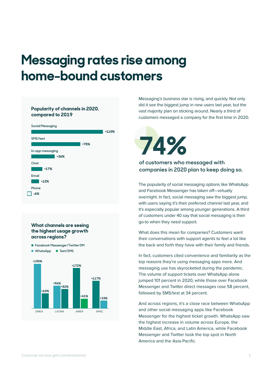## **Messaging rates rise among home-bound customers**

#### **Popularity of channels in 2020, compared to 2019**

| <b>Social Messaging</b> |         |
|-------------------------|---------|
|                         | $+110%$ |
| SMS/text                |         |
| +75%                    |         |
| In-app messaging        |         |
| $+36%$                  |         |
| Chat                    |         |
| $+17%$                  |         |
| Email                   |         |
| $+12%$                  |         |
| Phone                   |         |
| $-6%$                   |         |

#### **What channels are seeing the highest usage growth across regions?**

**Facebook Messenger/Twitter DM**

Г



Messaging's business star is rising, and quickly. Not only did it see the biggest jump in new users last year, but the vast majority plan on sticking around. Nearly a third of customers messaged a company for the first time in 2020.

# **74%**

#### **of customers who messaged with companies in 2020 plan to keep doing so.**

The popularity of social messaging options like WhatsApp and Facebook Messenger has taken off-virtually overnight. In fact, social messaging saw the biggest jump, with users saying it's their preferred channel last year, and it's especially popular among younger generations. A third of customers under 40 say that social messaging is their go-to when they need support.

What does this mean for companies? Customers want their conversations with support agents to feel a lot like the back and forth they have with their family and friends.

In fact, customers cited convenience and familiarity as the top reasons they're using messaging apps more. And messaging use has skyrocketed during the pandemic. The volume of support tickets over WhatsApp alone jumped 101 percent in 2020, while those over Facebook Messenger and Twitter direct messages rose 58 percent, followed by SMS/text at 34 percent.

And across regions, it's a close race between WhatsApp and other social messaging apps like Facebook Messenger for the highest ticket growth. WhatsApp saw the highest increase in volume across Europe, the Middle East, Africa, and Latin America, while Facebook Messenger and Twitter took the top spot in North America and the Asia-Pacific.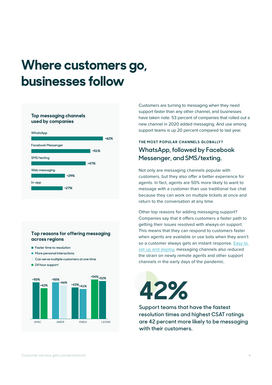## **Where customers go, businesses follow**

#### **Top messaging channels used by companies**



#### **Top reasons for offering messaging across regions**

- **Faster time to resolution**
- **More personal interactions**
- **Can serve multiple customers at one time**
- **24 hour support**



Customers are turning to messaging when they need support faster than any other channel, and businesses have taken note. 53 percent of companies that rolled out a new channel in 2020 added messaging. And use among support teams is up 20 percent compared to last year.

### **THE MOST POPULAR CHANNELS GLOBALLY? WhatsApp, followed by Facebook Messenger, and SMS/texting.**

Not only are messaging channels popular with customers, but they also offer a better experience for agents. In fact, agents are 50% more likely to want to message with a customer than use traditional live chat because they can work on multiple tickets at once and return to the conversation at any time.

Other top reasons for adding messaging support? Companies say that it offers customers a faster path to getting their issues resolved with always-on support. This means that they can respond to customers faster when agents are available or use bots when they aren't so a customer always gets an instant response. Easy to set up and deploy, messaging channels also reduced the strain on newly remote agents and other support channels in the early days of the pandemic.

# **42%**

**Support teams that have the fastest resolution times and highest CSAT ratings are 42 percent more likely to be messaging with their customers.**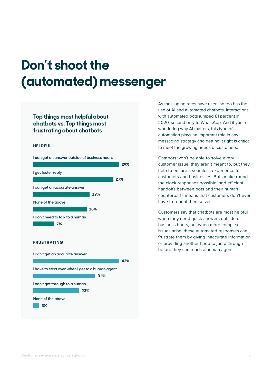## **Don't shoot the (automated) messenger**

#### **Top things most helpful about chatbots vs. Top things most frustrating about chatbots**

#### **HELPFUL**



As messaging rates have risen, so too has the use of AI and automated chatbots. Interactions with automated bots jumped 81 percent in 2020, second only to WhatsApp. And if you're wondering why AI matters, this type of automation plays an important role in any messaging strategy and getting it right is critical to meet the growing needs of customers.

Chatbots won't be able to solve every customer issue, they aren't meant to, but they help to ensure a seamless experience for customers and businesses. Bots make round the clock responses possible, and efficient handoffs between bots and their human counterparts means that customers don't ever have to repeat themselves.

Customers say that chatbots are most helpful when they need quick answers outside of business hours, but when more complex issues arise, these automated responses can frustrate them by giving inaccurate information or providing another hoop to jump through before they can reach a human agent.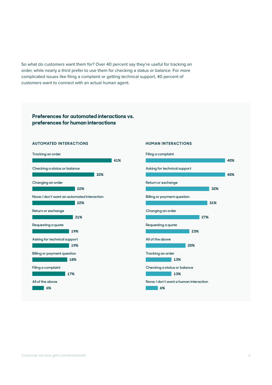So what do customers want them for? Over 40 percent say they're useful for tracking an order, while nearly a third prefer to use them for checking a status or balance. For more complicated issues like filing a complaint or getting technical support, 40 percent of customers want to connect with an actual human agent.

#### **Preferences for automated interactions vs. preferences for human interactions**

#### **AUTOMATED INTERACTIONS**



#### **HUMAN INTERACTIONS**

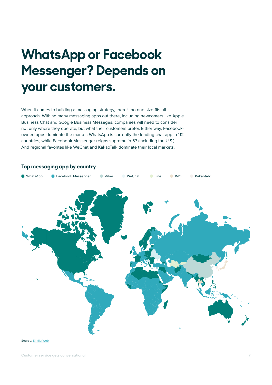# **WhatsApp or Facebook Messenger? Depends on your customers.**

When it comes to building a messaging strategy, there's no one-size-fits-all approach. With so many messaging apps out there, including newcomers like Apple Business Chat and Google Business Messages, companies will need to consider not only where they operate, but what their customers prefer. Either way, Facebookowned apps dominate the market: WhatsApp is currently the leading chat app in 112 countries, while Facebook Messenger reigns supreme in 57 (including the U.S.). And regional favorites like WeChat and KakaoTalk dominate their local markets.



#### **Top messaging app by country**

Source: SimilarWeb

**Customer service gets conversational 7**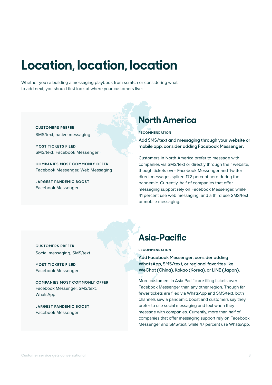### **Location, location, location**

Whether you're building a messaging playbook from scratch or considering what to add next, you should first look at where your customers live:

**CUSTOMERS PREFER** SMS/text, native messaging

**MOST TICKETS FILED** SMS/text, Facebook Messenger

**COMPANIES MOST COMMONLY OFFER** Facebook Messenger, Web Messaging

**LARGEST PANDEMIC BOOST** Facebook Messenger

### **North America**

**R E C O M M E N DAT I O N**

**Add SMS/text and messaging through your website or mobile app, consider adding Facebook Messenger.**

Customers in North America prefer to message with companies via SMS/text or directly through their website, though tickets over Facebook Messenger and Twitter direct messages spiked 172 percent here during the pandemic. Currently, half of companies that offer messaging support rely on Facebook Messenger, while 41 percent use web messaging, and a third use SMS/text or mobile messaging.

**CUSTOMERS PREFER** Social messaging, SMS/text

**MOST TICKETS FILED** Facebook Messenger

**COMPANIES MOST COMMONLY OFFER** Facebook Messenger, SMS/text, WhatsApp

**LARGEST PANDEMIC BOOST** Facebook Messenger

### **Asia-Pacific**

#### **R E C O M M E N DAT I O N**

**Add Facebook Messenger, consider adding WhatsApp, SMS/text, or regional favorites like WeChat (China), Kakao (Korea), or LINE (Japan).**

More customers in Asia-Pacific are filing tickets over Facebook Messenger than any other region. Though far fewer tickets are filed via WhatsApp and SMS/text, both channels saw a pandemic boost and customers say they prefer to use social messaging and text when they message with companies. Currently, more than half of companies that offer messaging support rely on Facebook Messenger and SMS/text, while 47 percent use WhatsApp.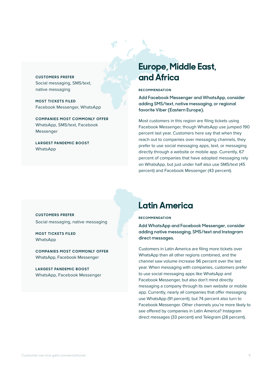**CUSTOMERS PREFER** Social messaging, SMS/text, native messaging

**MOST TICKETS FILED** Facebook Messenger, WhatsApp

**COMPANIES MOST COMMONLY OFFER** WhatsApp, SMS/text, Facebook Messenger

**LARGEST PANDEMIC BOOST** WhatsApp

### **Europe, Middle East, and Africa**

#### **RECOMMENDATION**

**Add Facebook Messenger and WhatsApp, consider adding SMS/text, native messaging, or regional favorite Viber (Eastern Europe).**

Most customers in this region are filing tickets using Facebook Messenger, though WhatsApp use jumped 190 percent last year. Customers here say that when they reach out to companies over messaging channels, they prefer to use social messaging apps, text, or messaging directly through a website or mobile app. Currently, 67 percent of companies that have adopted messaging rely on WhatsApp, but just under half also use SMS/text (45 percent) and Facebook Messenger (43 percent).

**CUSTOMERS PREFER** Social messaging, native messaging

**MOST TICKETS FILED WhatsApp** 

**COMPANIES MOST COMMONLY OFFER** WhatsApp, Facebook Messenger

**LARGEST PANDEMIC BOOST** WhatsApp, Facebook Messenger

### **Latin America**

#### **R E C O M M E N DAT I O N**

**Add WhatsApp and Facebook Messenger, consider adding native messaging, SMS/text and Instagram direct messages.**

Customers in Latin America are filing more tickets over WhatsApp than all other regions combined, and the channel saw volume increase 96 percent over the last year. When messaging with companies, customers prefer to use social messaging apps like WhatsApp and Facebook Messenger, but also don't mind directly messaging a company through its own website or mobile app. Currently, nearly all companies that offer messaging use WhatsApp (91 percent), but 74 percent also turn to Facebook Messenger. Other channels you're more likely to see offered by companies in Latin America? Instagram direct messages (33 percent) and Telegram (28 percent).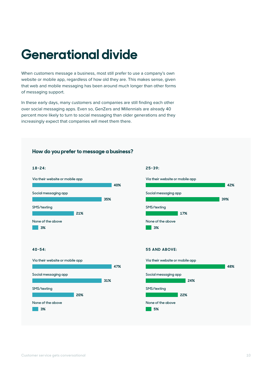## **Generational divide**

When customers message a business, most still prefer to use a company's own website or mobile app, regardless of how old they are. This makes sense, given that web and mobile messaging has been around much longer than other forms of messaging support.

In these early days, many customers and companies are still finding each other over social messaging apps. Even so, GenZers and Millennials are already 40 percent more likely to turn to social messaging than older generations and they increasingly expect that companies will meet them there.



#### **How do you prefer to message a business?**